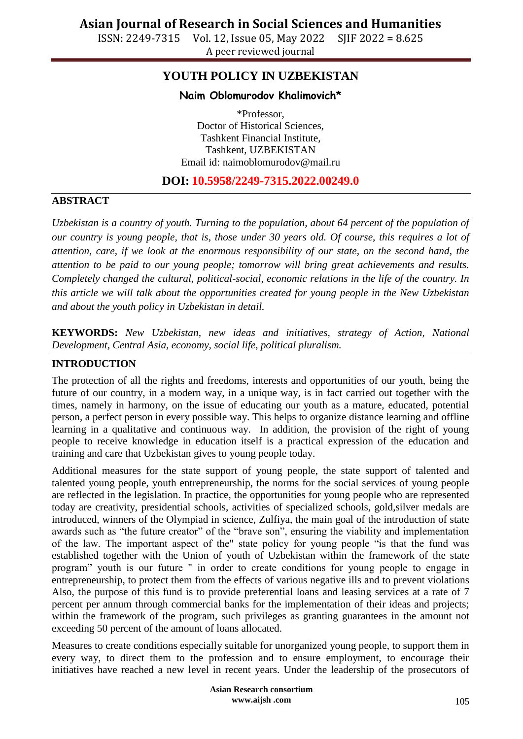ISSN: 2249-7315 Vol. 12, Issue 05, May 2022 SJIF 2022 = 8.625 A peer reviewed journal

## **YOUTH POLICY IN UZBEKISTAN**

#### **Naim Oblomurodov Khalimovich\***

\*Professor, Doctor of Historical Sciences, Tashkent Financial Institute, Tashkent, UZBEKISTAN Email id: [naimoblomurodov@mail.ru](mailto:naimoblomurodov@mail.ru)

### **DOI: 10.5958/2249-7315.2022.00249.0**

#### **ABSTRACT**

*Uzbekistan is a country of youth. Turning to the population, about 64 percent of the population of our country is young people, that is, those under 30 years old. Of course, this requires a lot of attention, care, if we look at the enormous responsibility of our state, on the second hand, the attention to be paid to our young people; tomorrow will bring great achievements and results. Completely changed the cultural, political-social, economic relations in the life of the country. In this article we will talk about the opportunities created for young people in the New Uzbekistan and about the youth policy in Uzbekistan in detail.* 

**KEYWORDS:** *New Uzbekistan, new ideas and initiatives, strategy of Action, National Development, Central Asia, economy, social life, political pluralism.* 

#### **INTRODUCTION**

The protection of all the rights and freedoms, interests and opportunities of our youth, being the future of our country, in a modern way, in a unique way, is in fact carried out together with the times, namely in harmony, on the issue of educating our youth as a mature, educated, potential person, a perfect person in every possible way. This helps to organize distance learning and offline learning in a qualitative and continuous way. In addition, the provision of the right of young people to receive knowledge in education itself is a practical expression of the education and training and care that Uzbekistan gives to young people today.

Additional measures for the state support of young people, the state support of talented and talented young people, youth entrepreneurship, the norms for the social services of young people are reflected in the legislation. In practice, the opportunities for young people who are represented today are creativity, presidential schools, activities of specialized schools, gold,silver medals are introduced, winners of the Olympiad in science, Zulfiya, the main goal of the introduction of state awards such as "the future creator" of the "brave son", ensuring the viability and implementation of the law. The important aspect of the" state policy for young people "is that the fund was established together with the Union of youth of Uzbekistan within the framework of the state program" youth is our future " in order to create conditions for young people to engage in entrepreneurship, to protect them from the effects of various negative ills and to prevent violations Also, the purpose of this fund is to provide preferential loans and leasing services at a rate of 7 percent per annum through commercial banks for the implementation of their ideas and projects; within the framework of the program, such privileges as granting guarantees in the amount not exceeding 50 percent of the amount of loans allocated.

Measures to create conditions especially suitable for unorganized young people, to support them in every way, to direct them to the profession and to ensure employment, to encourage their initiatives have reached a new level in recent years. Under the leadership of the prosecutors of